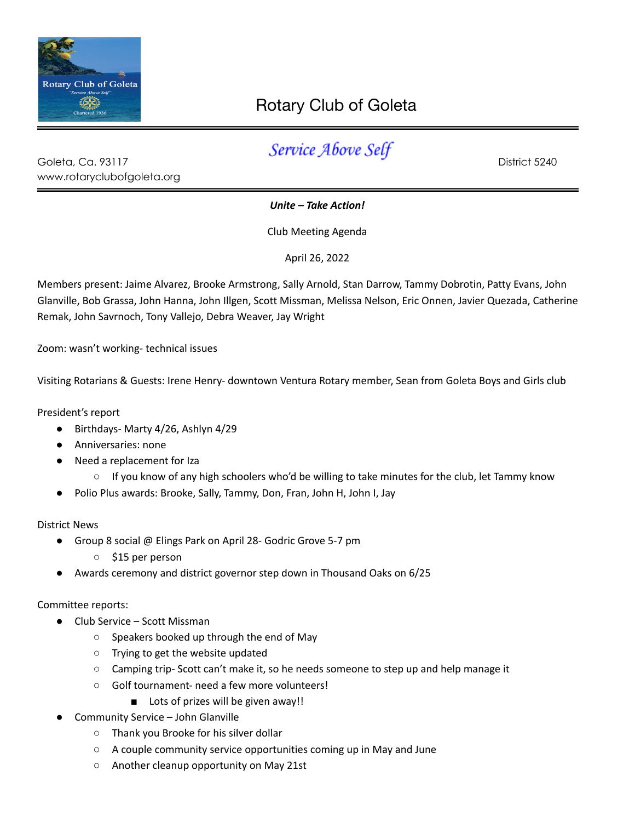

## Rotary Club of Goleta

| Goleta, Ca. 93117          | . <del>.</del> | District 5240 |
|----------------------------|----------------|---------------|
| www.rotaryclubofgoleta.org |                |               |

*Unite – Take Action!*

Club Meeting Agenda

April 26, 2022

Members present: Jaime Alvarez, Brooke Armstrong, Sally Arnold, Stan Darrow, Tammy Dobrotin, Patty Evans, John Glanville, Bob Grassa, John Hanna, John Illgen, Scott Missman, Melissa Nelson, Eric Onnen, Javier Quezada, Catherine Remak, John Savrnoch, Tony Vallejo, Debra Weaver, Jay Wright

Zoom: wasn't working- technical issues

Visiting Rotarians & Guests: Irene Henry- downtown Ventura Rotary member, Sean from Goleta Boys and Girls club

President's report

- Birthdays- Marty 4/26, Ashlyn 4/29
- Anniversaries: none
- Need a replacement for Iza
	- If you know of any high schoolers who'd be willing to take minutes for the club, let Tammy know
- Polio Plus awards: Brooke, Sally, Tammy, Don, Fran, John H, John I, Jay

District News

- Group 8 social @ Elings Park on April 28- Godric Grove 5-7 pm
	- \$15 per person
- Awards ceremony and district governor step down in Thousand Oaks on 6/25

Committee reports:

- Club Service Scott Missman
	- Speakers booked up through the end of May
	- Trying to get the website updated
	- Camping trip- Scott can't make it, so he needs someone to step up and help manage it
	- Golf tournament- need a few more volunteers!
		- Lots of prizes will be given away!!
- Community Service John Glanville
	- Thank you Brooke for his silver dollar
	- A couple community service opportunities coming up in May and June
	- Another cleanup opportunity on May 21st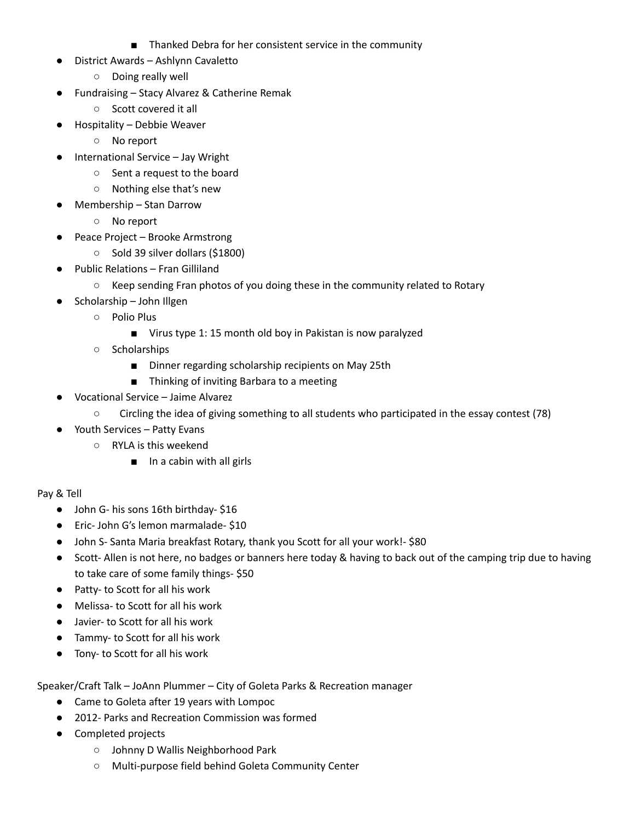- Thanked Debra for her consistent service in the community
- District Awards Ashlynn Cavaletto
	- Doing really well
- Fundraising Stacy Alvarez & Catherine Remak
	- Scott covered it all
- Hospitality Debbie Weaver
	- No report
- International Service Jay Wright
	- Sent a request to the board
	- Nothing else that's new
- Membership Stan Darrow
	- No report
	- Peace Project Brooke Armstrong
		- Sold 39 silver dollars (\$1800)
- Public Relations Fran Gilliland
	- Keep sending Fran photos of you doing these in the community related to Rotary
- Scholarship John Illgen
	- Polio Plus
		- Virus type 1: 15 month old boy in Pakistan is now paralyzed
	- Scholarships
		- Dinner regarding scholarship recipients on May 25th
		- Thinking of inviting Barbara to a meeting
- Vocational Service Jaime Alvarez
	- Circling the idea of giving something to all students who participated in the essay contest (78)
- Youth Services Patty Evans
	- RYLA is this weekend
		- In a cabin with all girls

## Pay & Tell

- John G- his sons 16th birthday- \$16
- Eric- John G's lemon marmalade- \$10
- John S- Santa Maria breakfast Rotary, thank you Scott for all your work!- \$80
- Scott- Allen is not here, no badges or banners here today & having to back out of the camping trip due to having to take care of some family things- \$50
- Patty- to Scott for all his work
- Melissa- to Scott for all his work
- Javier- to Scott for all his work
- Tammy- to Scott for all his work
- Tony- to Scott for all his work

Speaker/Craft Talk – JoAnn Plummer – City of Goleta Parks & Recreation manager

- Came to Goleta after 19 years with Lompoc
- 2012- Parks and Recreation Commission was formed
- Completed projects
	- Johnny D Wallis Neighborhood Park
	- Multi-purpose field behind Goleta Community Center